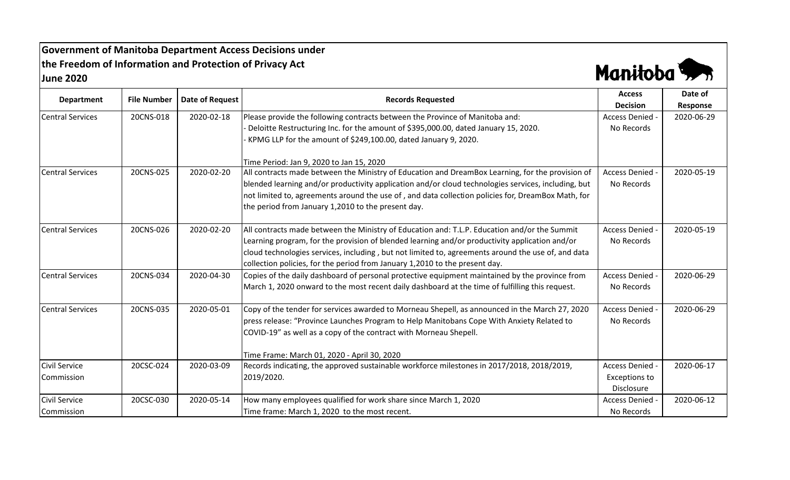**Government of Manitoba Department Access Decisions under the Freedom of Information and Protection of Privacy Act June 2020**



| <b>Department</b>       |                    |                        |                                                                                                     | <b>Access</b>        | Date of    |
|-------------------------|--------------------|------------------------|-----------------------------------------------------------------------------------------------------|----------------------|------------|
|                         | <b>File Number</b> | <b>Date of Request</b> | <b>Records Requested</b>                                                                            | <b>Decision</b>      | Response   |
| <b>Central Services</b> | 20CNS-018          | 2020-02-18             | Please provide the following contracts between the Province of Manitoba and:                        | Access Denied -      | 2020-06-29 |
|                         |                    |                        | Deloitte Restructuring Inc. for the amount of \$395,000.00, dated January 15, 2020.                 | No Records           |            |
|                         |                    |                        | KPMG LLP for the amount of \$249,100.00, dated January 9, 2020.                                     |                      |            |
|                         |                    |                        | Time Period: Jan 9, 2020 to Jan 15, 2020                                                            |                      |            |
| <b>Central Services</b> | 20CNS-025          | 2020-02-20             | All contracts made between the Ministry of Education and DreamBox Learning, for the provision of    | <b>Access Denied</b> | 2020-05-19 |
|                         |                    |                        | blended learning and/or productivity application and/or cloud technologies services, including, but | No Records           |            |
|                         |                    |                        | not limited to, agreements around the use of, and data collection policies for, DreamBox Math, for  |                      |            |
|                         |                    |                        | the period from January 1,2010 to the present day.                                                  |                      |            |
| <b>Central Services</b> | 20CNS-026          | 2020-02-20             | All contracts made between the Ministry of Education and: T.L.P. Education and/or the Summit        | <b>Access Denied</b> | 2020-05-19 |
|                         |                    |                        | Learning program, for the provision of blended learning and/or productivity application and/or      | No Records           |            |
|                         |                    |                        | cloud technologies services, including, but not limited to, agreements around the use of, and data  |                      |            |
|                         |                    |                        | collection policies, for the period from January 1,2010 to the present day.                         |                      |            |
| <b>Central Services</b> | 20CNS-034          | 2020-04-30             | Copies of the daily dashboard of personal protective equipment maintained by the province from      | Access Denied        | 2020-06-29 |
|                         |                    |                        | March 1, 2020 onward to the most recent daily dashboard at the time of fulfilling this request.     | No Records           |            |
| <b>Central Services</b> | 20CNS-035          | 2020-05-01             | Copy of the tender for services awarded to Morneau Shepell, as announced in the March 27, 2020      | Access Denied -      | 2020-06-29 |
|                         |                    |                        | press release: "Province Launches Program to Help Manitobans Cope With Anxiety Related to           | No Records           |            |
|                         |                    |                        | COVID-19" as well as a copy of the contract with Morneau Shepell.                                   |                      |            |
|                         |                    |                        | Time Frame: March 01, 2020 - April 30, 2020                                                         |                      |            |
| <b>Civil Service</b>    | 20CSC-024          | 2020-03-09             | Records indicating, the approved sustainable workforce milestones in 2017/2018, 2018/2019,          | Access Denied -      | 2020-06-17 |
| Commission              |                    |                        | 2019/2020.                                                                                          | <b>Exceptions to</b> |            |
|                         |                    |                        |                                                                                                     | Disclosure           |            |
| <b>Civil Service</b>    | 20CSC-030          | 2020-05-14             | How many employees qualified for work share since March 1, 2020                                     | Access Denied        | 2020-06-12 |
| Commission              |                    |                        | Time frame: March 1, 2020 to the most recent.                                                       | No Records           |            |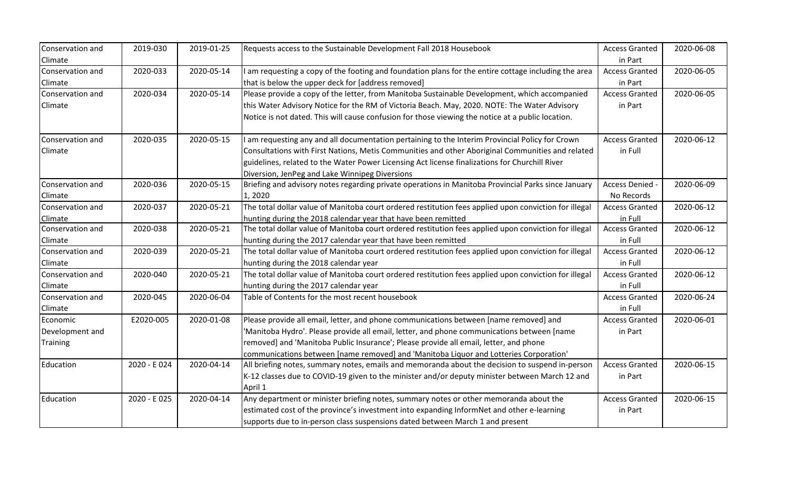| Conservation and | 2019-030    | 2019-01-25 | Requests access to the Sustainable Development Fall 2018 Housebook                                    | <b>Access Granted</b> | 2020-06-08 |
|------------------|-------------|------------|-------------------------------------------------------------------------------------------------------|-----------------------|------------|
| Climate          |             |            |                                                                                                       | in Part               |            |
| Conservation and | 2020-033    | 2020-05-14 | am requesting a copy of the footing and foundation plans for the entire cottage including the area    | <b>Access Granted</b> | 2020-06-05 |
| Climate          |             |            | that is below the upper deck for [address removed]                                                    | in Part               |            |
| Conservation and | 2020-034    | 2020-05-14 | Please provide a copy of the letter, from Manitoba Sustainable Development, which accompanied         | <b>Access Granted</b> | 2020-06-05 |
| Climate          |             |            | this Water Advisory Notice for the RM of Victoria Beach. May, 2020. NOTE: The Water Advisory          | in Part               |            |
|                  |             |            | Notice is not dated. This will cause confusion for those viewing the notice at a public location.     |                       |            |
| Conservation and | 2020-035    | 2020-05-15 | I am requesting any and all documentation pertaining to the Interim Provincial Policy for Crown       | <b>Access Granted</b> | 2020-06-12 |
| Climate          |             |            | Consultations with First Nations, Metis Communities and other Aboriginal Communities and related      | in Full               |            |
|                  |             |            | guidelines, related to the Water Power Licensing Act license finalizations for Churchill River        |                       |            |
|                  |             |            | Diversion, JenPeg and Lake Winnipeg Diversions                                                        |                       |            |
| Conservation and | 2020-036    | 2020-05-15 | Briefing and advisory notes regarding private operations in Manitoba Provincial Parks since January   | Access Denied -       | 2020-06-09 |
| Climate          |             |            | 1,2020                                                                                                | No Records            |            |
| Conservation and | 2020-037    | 2020-05-21 | The total dollar value of Manitoba court ordered restitution fees applied upon conviction for illegal | <b>Access Granted</b> | 2020-06-12 |
| Climate          |             |            | hunting during the 2018 calendar year that have been remitted                                         | in Full               |            |
| Conservation and | 2020-038    | 2020-05-21 | The total dollar value of Manitoba court ordered restitution fees applied upon conviction for illegal | <b>Access Granted</b> | 2020-06-12 |
| Climate          |             |            | hunting during the 2017 calendar year that have been remitted                                         | in Full               |            |
| Conservation and | 2020-039    | 2020-05-21 | The total dollar value of Manitoba court ordered restitution fees applied upon conviction for illegal | <b>Access Granted</b> | 2020-06-12 |
| Climate          |             |            | hunting during the 2018 calendar year                                                                 | in Full               |            |
| Conservation and | 2020-040    | 2020-05-21 | The total dollar value of Manitoba court ordered restitution fees applied upon conviction for illegal | <b>Access Granted</b> | 2020-06-12 |
| Climate          |             |            | hunting during the 2017 calendar year                                                                 | in Full               |            |
| Conservation and | 2020-045    | 2020-06-04 | Table of Contents for the most recent housebook                                                       | <b>Access Granted</b> | 2020-06-24 |
| Climate          |             |            |                                                                                                       | in Full               |            |
| Economic         | E2020-005   | 2020-01-08 | Please provide all email, letter, and phone communications between [name removed] and                 | <b>Access Granted</b> | 2020-06-01 |
| Development and  |             |            | 'Manitoba Hydro'. Please provide all email, letter, and phone communications between [name            | in Part               |            |
| <b>Training</b>  |             |            | removed] and 'Manitoba Public Insurance'; Please provide all email, letter, and phone                 |                       |            |
|                  |             |            | communications between [name removed] and 'Manitoba Liquor and Lotteries Corporation'                 |                       |            |
| Education        | 2020 - E024 | 2020-04-14 | All briefing notes, summary notes, emails and memoranda about the decision to suspend in-person       | <b>Access Granted</b> | 2020-06-15 |
|                  |             |            | K-12 classes due to COVID-19 given to the minister and/or deputy minister between March 12 and        | in Part               |            |
|                  |             |            | April 1                                                                                               |                       |            |
| Education        | 2020 - E025 | 2020-04-14 | Any department or minister briefing notes, summary notes or other memoranda about the                 | <b>Access Granted</b> | 2020-06-15 |
|                  |             |            | estimated cost of the province's investment into expanding InformNet and other e-learning             | in Part               |            |
|                  |             |            | supports due to in-person class suspensions dated between March 1 and present                         |                       |            |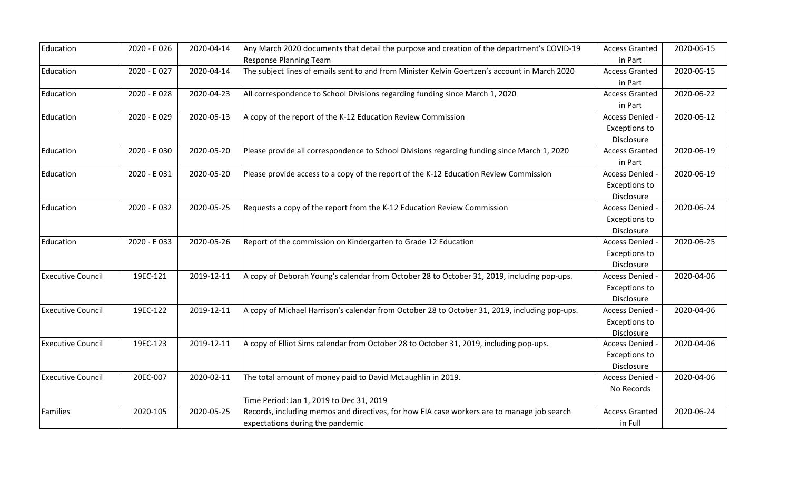| Education                | 2020 - E026 | 2020-04-14 | Any March 2020 documents that detail the purpose and creation of the department's COVID-19    | <b>Access Granted</b> | 2020-06-15 |
|--------------------------|-------------|------------|-----------------------------------------------------------------------------------------------|-----------------------|------------|
|                          |             |            | <b>Response Planning Team</b>                                                                 | in Part               |            |
| Education                | 2020 - E027 | 2020-04-14 | The subject lines of emails sent to and from Minister Kelvin Goertzen's account in March 2020 | <b>Access Granted</b> | 2020-06-15 |
|                          |             |            |                                                                                               | in Part               |            |
| Education                | 2020 - E028 | 2020-04-23 | All correspondence to School Divisions regarding funding since March 1, 2020                  | <b>Access Granted</b> | 2020-06-22 |
|                          |             |            |                                                                                               | in Part               |            |
| Education                | 2020 - E029 | 2020-05-13 | A copy of the report of the K-12 Education Review Commission                                  | Access Denied -       | 2020-06-12 |
|                          |             |            |                                                                                               | <b>Exceptions to</b>  |            |
|                          |             |            |                                                                                               | Disclosure            |            |
| Education                | 2020 - E030 | 2020-05-20 | Please provide all correspondence to School Divisions regarding funding since March 1, 2020   | <b>Access Granted</b> | 2020-06-19 |
|                          |             |            |                                                                                               | in Part               |            |
| Education                | 2020 - E031 | 2020-05-20 | Please provide access to a copy of the report of the K-12 Education Review Commission         | Access Denied -       | 2020-06-19 |
|                          |             |            |                                                                                               | <b>Exceptions to</b>  |            |
|                          |             |            |                                                                                               | Disclosure            |            |
| Education                | 2020 - E032 | 2020-05-25 | Requests a copy of the report from the K-12 Education Review Commission                       | Access Denied -       | 2020-06-24 |
|                          |             |            |                                                                                               | <b>Exceptions to</b>  |            |
|                          |             |            |                                                                                               | Disclosure            |            |
| Education                | 2020 - E033 | 2020-05-26 | Report of the commission on Kindergarten to Grade 12 Education                                | Access Denied -       | 2020-06-25 |
|                          |             |            |                                                                                               | Exceptions to         |            |
|                          |             |            |                                                                                               | Disclosure            |            |
| <b>Executive Council</b> | 19EC-121    | 2019-12-11 | A copy of Deborah Young's calendar from October 28 to October 31, 2019, including pop-ups.    | Access Denied -       | 2020-04-06 |
|                          |             |            |                                                                                               | <b>Exceptions to</b>  |            |
|                          |             |            |                                                                                               | Disclosure            |            |
| <b>Executive Council</b> | 19EC-122    | 2019-12-11 | A copy of Michael Harrison's calendar from October 28 to October 31, 2019, including pop-ups. | Access Denied -       | 2020-04-06 |
|                          |             |            |                                                                                               | <b>Exceptions to</b>  |            |
|                          |             |            |                                                                                               | Disclosure            |            |
| <b>Executive Council</b> | 19EC-123    | 2019-12-11 | A copy of Elliot Sims calendar from October 28 to October 31, 2019, including pop-ups.        | Access Denied -       | 2020-04-06 |
|                          |             |            |                                                                                               | Exceptions to         |            |
|                          |             |            |                                                                                               | Disclosure            |            |
| <b>Executive Council</b> | 20EC-007    | 2020-02-11 | The total amount of money paid to David McLaughlin in 2019.                                   | Access Denied -       | 2020-04-06 |
|                          |             |            |                                                                                               | No Records            |            |
|                          |             |            | Time Period: Jan 1, 2019 to Dec 31, 2019                                                      |                       |            |
| Families                 | 2020-105    | 2020-05-25 | Records, including memos and directives, for how EIA case workers are to manage job search    | <b>Access Granted</b> | 2020-06-24 |
|                          |             |            | expectations during the pandemic                                                              | in Full               |            |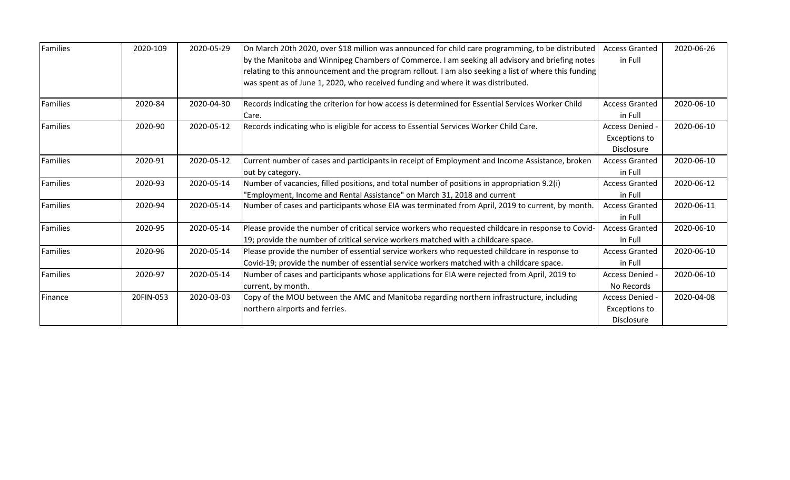| Families | 2020-109  | 2020-05-29 | On March 20th 2020, over \$18 million was announced for child care programming, to be distributed     | <b>Access Granted</b> | 2020-06-26 |
|----------|-----------|------------|-------------------------------------------------------------------------------------------------------|-----------------------|------------|
|          |           |            | by the Manitoba and Winnipeg Chambers of Commerce. I am seeking all advisory and briefing notes       | in Full               |            |
|          |           |            | relating to this announcement and the program rollout. I am also seeking a list of where this funding |                       |            |
|          |           |            | was spent as of June 1, 2020, who received funding and where it was distributed.                      |                       |            |
| Families | 2020-84   | 2020-04-30 | Records indicating the criterion for how access is determined for Essential Services Worker Child     | <b>Access Granted</b> | 2020-06-10 |
|          |           |            | Care.                                                                                                 | in Full               |            |
| Families | 2020-90   | 2020-05-12 | Records indicating who is eligible for access to Essential Services Worker Child Care.                | Access Denied -       | 2020-06-10 |
|          |           |            |                                                                                                       | <b>Exceptions to</b>  |            |
|          |           |            |                                                                                                       | Disclosure            |            |
| Families | 2020-91   | 2020-05-12 | Current number of cases and participants in receipt of Employment and Income Assistance, broken       | <b>Access Granted</b> | 2020-06-10 |
|          |           |            | out by category.                                                                                      | in Full               |            |
| Families | 2020-93   | 2020-05-14 | Number of vacancies, filled positions, and total number of positions in appropriation 9.2(i)          | <b>Access Granted</b> | 2020-06-12 |
|          |           |            | 'Employment, Income and Rental Assistance" on March 31, 2018 and current                              | in Full               |            |
| Families | 2020-94   | 2020-05-14 | Number of cases and participants whose EIA was terminated from April, 2019 to current, by month.      | <b>Access Granted</b> | 2020-06-11 |
|          |           |            |                                                                                                       | in Full               |            |
| Families | 2020-95   | 2020-05-14 | Please provide the number of critical service workers who requested childcare in response to Covid-   | <b>Access Granted</b> | 2020-06-10 |
|          |           |            | 19; provide the number of critical service workers matched with a childcare space.                    | in Full               |            |
| Families | 2020-96   | 2020-05-14 | Please provide the number of essential service workers who requested childcare in response to         | <b>Access Granted</b> | 2020-06-10 |
|          |           |            | Covid-19; provide the number of essential service workers matched with a childcare space.             | in Full               |            |
| Families | 2020-97   | 2020-05-14 | Number of cases and participants whose applications for EIA were rejected from April, 2019 to         | Access Denied         | 2020-06-10 |
|          |           |            | current, by month.                                                                                    | No Records            |            |
| Finance  | 20FIN-053 | 2020-03-03 | Copy of the MOU between the AMC and Manitoba regarding northern infrastructure, including             | Access Denied         | 2020-04-08 |
|          |           |            | northern airports and ferries.                                                                        | Exceptions to         |            |
|          |           |            |                                                                                                       | Disclosure            |            |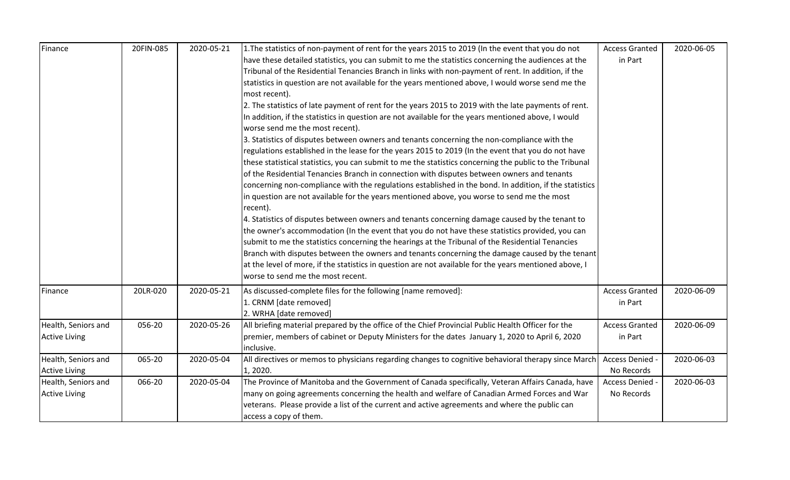| Finance              | 20FIN-085 | 2020-05-21 | 1. The statistics of non-payment of rent for the years 2015 to 2019 (In the event that you do not       | <b>Access Granted</b> | 2020-06-05 |
|----------------------|-----------|------------|---------------------------------------------------------------------------------------------------------|-----------------------|------------|
|                      |           |            | have these detailed statistics, you can submit to me the statistics concerning the audiences at the     | in Part               |            |
|                      |           |            | Tribunal of the Residential Tenancies Branch in links with non-payment of rent. In addition, if the     |                       |            |
|                      |           |            | statistics in question are not available for the years mentioned above, I would worse send me the       |                       |            |
|                      |           |            | most recent).                                                                                           |                       |            |
|                      |           |            | 2. The statistics of late payment of rent for the years 2015 to 2019 with the late payments of rent.    |                       |            |
|                      |           |            | In addition, if the statistics in question are not available for the years mentioned above, I would     |                       |            |
|                      |           |            | worse send me the most recent).                                                                         |                       |            |
|                      |           |            | 3. Statistics of disputes between owners and tenants concerning the non-compliance with the             |                       |            |
|                      |           |            | regulations established in the lease for the years 2015 to 2019 (In the event that you do not have      |                       |            |
|                      |           |            | these statistical statistics, you can submit to me the statistics concerning the public to the Tribunal |                       |            |
|                      |           |            | of the Residential Tenancies Branch in connection with disputes between owners and tenants              |                       |            |
|                      |           |            | concerning non-compliance with the regulations established in the bond. In addition, if the statistics  |                       |            |
|                      |           |            | in question are not available for the years mentioned above, you worse to send me the most              |                       |            |
|                      |           |            | recent).                                                                                                |                       |            |
|                      |           |            | 4. Statistics of disputes between owners and tenants concerning damage caused by the tenant to          |                       |            |
|                      |           |            | the owner's accommodation (In the event that you do not have these statistics provided, you can         |                       |            |
|                      |           |            | submit to me the statistics concerning the hearings at the Tribunal of the Residential Tenancies        |                       |            |
|                      |           |            | Branch with disputes between the owners and tenants concerning the damage caused by the tenant          |                       |            |
|                      |           |            | at the level of more, if the statistics in question are not available for the years mentioned above, I  |                       |            |
|                      |           |            | worse to send me the most recent.                                                                       |                       |            |
| Finance              | 20LR-020  | 2020-05-21 | As discussed-complete files for the following [name removed]:                                           | <b>Access Granted</b> | 2020-06-09 |
|                      |           |            | 1. CRNM [date removed]                                                                                  | in Part               |            |
|                      |           |            | 2. WRHA [date removed]                                                                                  |                       |            |
| Health, Seniors and  | 056-20    | 2020-05-26 | All briefing material prepared by the office of the Chief Provincial Public Health Officer for the      | <b>Access Granted</b> | 2020-06-09 |
| <b>Active Living</b> |           |            | premier, members of cabinet or Deputy Ministers for the dates January 1, 2020 to April 6, 2020          | in Part               |            |
|                      |           |            | inclusive.                                                                                              |                       |            |
| Health, Seniors and  | 065-20    | 2020-05-04 | All directives or memos to physicians regarding changes to cognitive behavioral therapy since March     | Access Denied -       | 2020-06-03 |
| <b>Active Living</b> |           |            | 1, 2020.                                                                                                | No Records            |            |
| Health, Seniors and  | 066-20    | 2020-05-04 | The Province of Manitoba and the Government of Canada specifically, Veteran Affairs Canada, have        | Access Denied -       | 2020-06-03 |
| <b>Active Living</b> |           |            | many on going agreements concerning the health and welfare of Canadian Armed Forces and War             | No Records            |            |
|                      |           |            | veterans. Please provide a list of the current and active agreements and where the public can           |                       |            |
|                      |           |            | access a copy of them.                                                                                  |                       |            |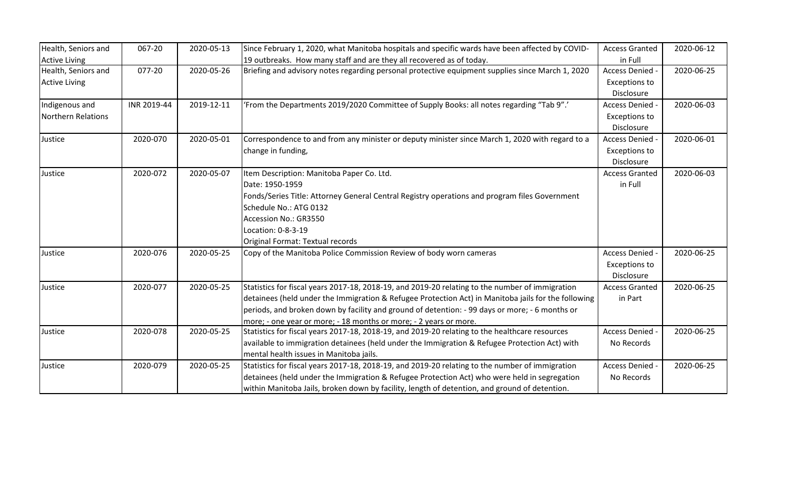| Health, Seniors and  | 067-20      | 2020-05-13 | Since February 1, 2020, what Manitoba hospitals and specific wards have been affected by COVID-     | <b>Access Granted</b> | 2020-06-12 |
|----------------------|-------------|------------|-----------------------------------------------------------------------------------------------------|-----------------------|------------|
| <b>Active Living</b> |             |            | 19 outbreaks. How many staff and are they all recovered as of today.                                | in Full               |            |
| Health, Seniors and  | 077-20      | 2020-05-26 | Briefing and advisory notes regarding personal protective equipment supplies since March 1, 2020    | Access Denied -       | 2020-06-25 |
| <b>Active Living</b> |             |            |                                                                                                     | <b>Exceptions to</b>  |            |
|                      |             |            |                                                                                                     | Disclosure            |            |
| Indigenous and       | INR 2019-44 | 2019-12-11 | 'From the Departments 2019/2020 Committee of Supply Books: all notes regarding "Tab 9".'            | Access Denied -       | 2020-06-03 |
| Northern Relations   |             |            |                                                                                                     | <b>Exceptions to</b>  |            |
|                      |             |            |                                                                                                     | Disclosure            |            |
| Justice              | 2020-070    | 2020-05-01 | Correspondence to and from any minister or deputy minister since March 1, 2020 with regard to a     | Access Denied -       | 2020-06-01 |
|                      |             |            | change in funding,                                                                                  | <b>Exceptions to</b>  |            |
|                      |             |            |                                                                                                     | Disclosure            |            |
| Justice              | 2020-072    | 2020-05-07 | Item Description: Manitoba Paper Co. Ltd.                                                           | <b>Access Granted</b> | 2020-06-03 |
|                      |             |            | Date: 1950-1959                                                                                     | in Full               |            |
|                      |             |            | Fonds/Series Title: Attorney General Central Registry operations and program files Government       |                       |            |
|                      |             |            | Schedule No.: ATG 0132                                                                              |                       |            |
|                      |             |            | Accession No.: GR3550                                                                               |                       |            |
|                      |             |            | Location: 0-8-3-19                                                                                  |                       |            |
|                      |             |            | Original Format: Textual records                                                                    |                       |            |
| Justice              | 2020-076    | 2020-05-25 | Copy of the Manitoba Police Commission Review of body worn cameras                                  | Access Denied -       | 2020-06-25 |
|                      |             |            |                                                                                                     | <b>Exceptions to</b>  |            |
|                      |             |            |                                                                                                     | Disclosure            |            |
| Justice              | 2020-077    | 2020-05-25 | Statistics for fiscal years 2017-18, 2018-19, and 2019-20 relating to the number of immigration     | <b>Access Granted</b> | 2020-06-25 |
|                      |             |            | detainees (held under the Immigration & Refugee Protection Act) in Manitoba jails for the following | in Part               |            |
|                      |             |            | periods, and broken down by facility and ground of detention: - 99 days or more; - 6 months or      |                       |            |
|                      |             |            | more; - one year or more; - 18 months or more; - 2 years or more.                                   |                       |            |
| Justice              | 2020-078    | 2020-05-25 | Statistics for fiscal years 2017-18, 2018-19, and 2019-20 relating to the healthcare resources      | Access Denied -       | 2020-06-25 |
|                      |             |            | available to immigration detainees (held under the Immigration & Refugee Protection Act) with       | No Records            |            |
|                      |             |            | mental health issues in Manitoba jails.                                                             |                       |            |
| Justice              | 2020-079    | 2020-05-25 | Statistics for fiscal years 2017-18, 2018-19, and 2019-20 relating to the number of immigration     | Access Denied -       | 2020-06-25 |
|                      |             |            | detainees (held under the Immigration & Refugee Protection Act) who were held in segregation        | No Records            |            |
|                      |             |            | within Manitoba Jails, broken down by facility, length of detention, and ground of detention.       |                       |            |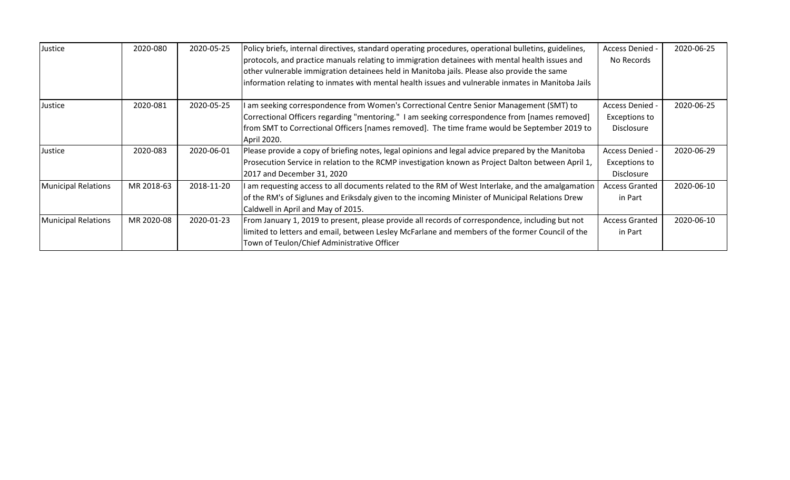| Justice                    | 2020-080   | 2020-05-25 | Policy briefs, internal directives, standard operating procedures, operational bulletins, guidelines,<br>protocols, and practice manuals relating to immigration detainees with mental health issues and<br>other vulnerable immigration detainees held in Manitoba jails. Please also provide the same<br>information relating to inmates with mental health issues and vulnerable inmates in Manitoba Jails | Access Denied -<br>No Records                  | 2020-06-25 |
|----------------------------|------------|------------|---------------------------------------------------------------------------------------------------------------------------------------------------------------------------------------------------------------------------------------------------------------------------------------------------------------------------------------------------------------------------------------------------------------|------------------------------------------------|------------|
| Justice                    | 2020-081   | 2020-05-25 | am seeking correspondence from Women's Correctional Centre Senior Management (SMT) to<br>Correctional Officers regarding "mentoring." I am seeking correspondence from [names removed]<br>from SMT to Correctional Officers [names removed]. The time frame would be September 2019 to<br>April 2020.                                                                                                         | Access Denied -<br>Exceptions to<br>Disclosure | 2020-06-25 |
| Justice                    | 2020-083   | 2020-06-01 | Please provide a copy of briefing notes, legal opinions and legal advice prepared by the Manitoba<br>Prosecution Service in relation to the RCMP investigation known as Project Dalton between April 1,<br>2017 and December 31, 2020                                                                                                                                                                         | Access Denied -<br>Exceptions to<br>Disclosure | 2020-06-29 |
| <b>Municipal Relations</b> | MR 2018-63 | 2018-11-20 | I am requesting access to all documents related to the RM of West Interlake, and the amalgamation<br>of the RM's of Siglunes and Eriksdaly given to the incoming Minister of Municipal Relations Drew<br>Caldwell in April and May of 2015.                                                                                                                                                                   | <b>Access Granted</b><br>in Part               | 2020-06-10 |
| <b>Municipal Relations</b> | MR 2020-08 | 2020-01-23 | From January 1, 2019 to present, please provide all records of correspondence, including but not<br>limited to letters and email, between Lesley McFarlane and members of the former Council of the<br>Town of Teulon/Chief Administrative Officer                                                                                                                                                            | <b>Access Granted</b><br>in Part               | 2020-06-10 |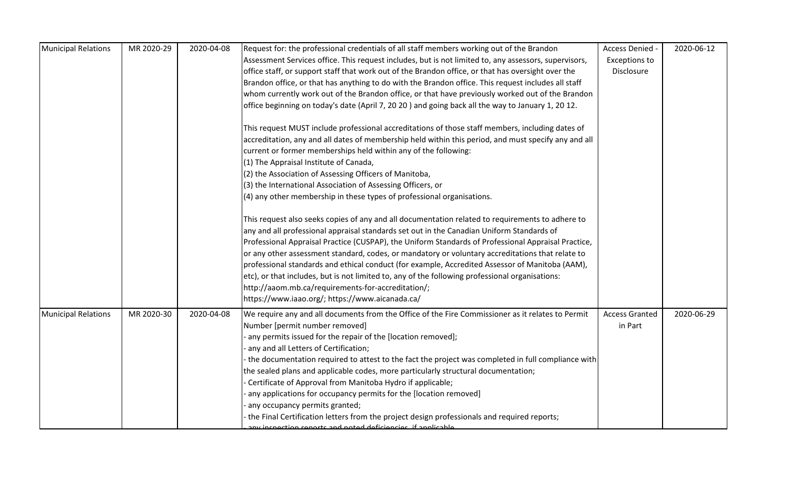| Municipal Relations        | MR 2020-29 | 2020-04-08 | Request for: the professional credentials of all staff members working out of the Brandon             | Access Denied -       | 2020-06-12 |
|----------------------------|------------|------------|-------------------------------------------------------------------------------------------------------|-----------------------|------------|
|                            |            |            | Assessment Services office. This request includes, but is not limited to, any assessors, supervisors, | <b>Exceptions to</b>  |            |
|                            |            |            | office staff, or support staff that work out of the Brandon office, or that has oversight over the    | Disclosure            |            |
|                            |            |            | Brandon office, or that has anything to do with the Brandon office. This request includes all staff   |                       |            |
|                            |            |            | whom currently work out of the Brandon office, or that have previously worked out of the Brandon      |                       |            |
|                            |            |            | office beginning on today's date (April 7, 20 20) and going back all the way to January 1, 20 12.     |                       |            |
|                            |            |            | This request MUST include professional accreditations of those staff members, including dates of      |                       |            |
|                            |            |            | accreditation, any and all dates of membership held within this period, and must specify any and all  |                       |            |
|                            |            |            | current or former memberships held within any of the following:                                       |                       |            |
|                            |            |            | (1) The Appraisal Institute of Canada,                                                                |                       |            |
|                            |            |            | (2) the Association of Assessing Officers of Manitoba,                                                |                       |            |
|                            |            |            | (3) the International Association of Assessing Officers, or                                           |                       |            |
|                            |            |            | (4) any other membership in these types of professional organisations.                                |                       |            |
|                            |            |            | This request also seeks copies of any and all documentation related to requirements to adhere to      |                       |            |
|                            |            |            | any and all professional appraisal standards set out in the Canadian Uniform Standards of             |                       |            |
|                            |            |            | Professional Appraisal Practice (CUSPAP), the Uniform Standards of Professional Appraisal Practice,   |                       |            |
|                            |            |            | or any other assessment standard, codes, or mandatory or voluntary accreditations that relate to      |                       |            |
|                            |            |            | professional standards and ethical conduct (for example, Accredited Assessor of Manitoba (AAM),       |                       |            |
|                            |            |            | etc), or that includes, but is not limited to, any of the following professional organisations:       |                       |            |
|                            |            |            | http://aaom.mb.ca/requirements-for-accreditation/;                                                    |                       |            |
|                            |            |            | https://www.iaao.org/; https://www.aicanada.ca/                                                       |                       |            |
| <b>Municipal Relations</b> | MR 2020-30 | 2020-04-08 | We require any and all documents from the Office of the Fire Commissioner as it relates to Permit     | <b>Access Granted</b> | 2020-06-29 |
|                            |            |            | Number [permit number removed]                                                                        | in Part               |            |
|                            |            |            | any permits issued for the repair of the [location removed];                                          |                       |            |
|                            |            |            | any and all Letters of Certification;                                                                 |                       |            |
|                            |            |            | the documentation required to attest to the fact the project was completed in full compliance with    |                       |            |
|                            |            |            | the sealed plans and applicable codes, more particularly structural documentation;                    |                       |            |
|                            |            |            | Certificate of Approval from Manitoba Hydro if applicable;                                            |                       |            |
|                            |            |            | any applications for occupancy permits for the [location removed]                                     |                       |            |
|                            |            |            | any occupancy permits granted;                                                                        |                       |            |
|                            |            |            | the Final Certification letters from the project design professionals and required reports;           |                       |            |
|                            |            |            | any inconction reports and noted deficionsies, if annlisable                                          |                       |            |